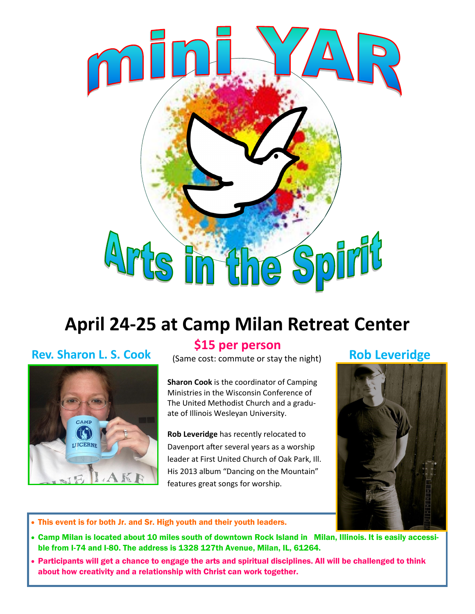

# **April 24-25 at Camp Milan Retreat Center**

# **Rev. Sharon L. S. Cook** (Same cost: commute or stay the night)



### **\$15 per person**

**Sharon Cook** is the coordinator of Camping Ministries in the Wisconsin Conference of The United Methodist Church and a graduate of Illinois Wesleyan University.

**Rob Leveridge** has recently relocated to Davenport after several years as a worship leader at First United Church of Oak Park, Ill. His 2013 album "Dancing on the Mountain" features great songs for worship.

## **Rob Leveridge**



- This event is for both Jr. and Sr. High youth and their youth leaders.
- Camp Milan is located about 10 miles south of downtown Rock Island in Milan, Illinois. It is easily accessible from I-74 and I-80. The address is 1328 127th Avenue, Milan, IL, 61264.
- Participants will get a chance to engage the arts and spiritual disciplines. All will be challenged to think about how creativity and a relationship with Christ can work together.